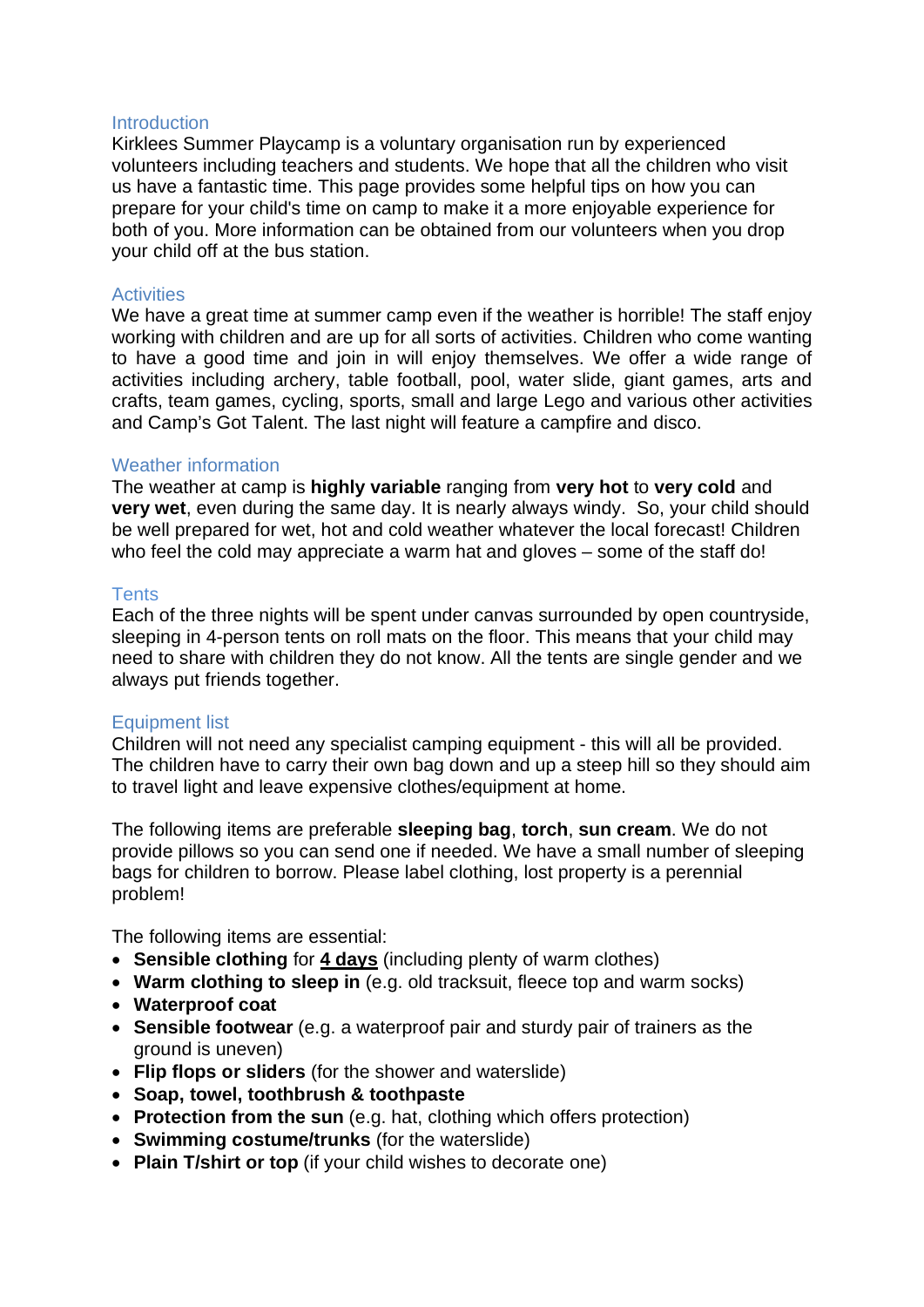### **Introduction**

Kirklees Summer Playcamp is a voluntary organisation run by experienced volunteers including teachers and students. We hope that all the children who visit us have a fantastic time. This page provides some helpful tips on how you can prepare for your child's time on camp to make it a more enjoyable experience for both of you. More information can be obtained from our volunteers when you drop your child off at the bus station.

### **Activities**

We have a great time at summer camp even if the weather is horrible! The staff enjoy working with children and are up for all sorts of activities. Children who come wanting to have a good time and join in will enjoy themselves. We offer a wide range of activities including archery, table football, pool, water slide, giant games, arts and crafts, team games, cycling, sports, small and large Lego and various other activities and Camp's Got Talent. The last night will feature a campfire and disco.

## Weather information

The weather at camp is **highly variable** ranging from **very hot** to **very cold** and **very wet**, even during the same day. It is nearly always windy. So, your child should be well prepared for wet, hot and cold weather whatever the local forecast! Children who feel the cold may appreciate a warm hat and gloves – some of the staff do!

### **Tents**

Each of the three nights will be spent under canvas surrounded by open countryside, sleeping in 4-person tents on roll mats on the floor. This means that your child may need to share with children they do not know. All the tents are single gender and we always put friends together.

## Equipment list

Children will not need any specialist camping equipment - this will all be provided. The children have to carry their own bag down and up a steep hill so they should aim to travel light and leave expensive clothes/equipment at home.

The following items are preferable **sleeping bag**, **torch**, **sun cream**. We do not provide pillows so you can send one if needed. We have a small number of sleeping bags for children to borrow. Please label clothing, lost property is a perennial problem!

The following items are essential:

- **Sensible clothing** for **4 days** (including plenty of warm clothes)
- **Warm clothing to sleep in** (e.g. old tracksuit, fleece top and warm socks)
- **Waterproof coat**
- **Sensible footwear** (e.g. a waterproof pair and sturdy pair of trainers as the ground is uneven)
- **Flip flops or sliders** (for the shower and waterslide)
- **Soap, towel, toothbrush & toothpaste**
- **Protection from the sun** (e.g. hat, clothing which offers protection)
- **Swimming costume/trunks** (for the waterslide)
- **Plain T/shirt or top** (if your child wishes to decorate one)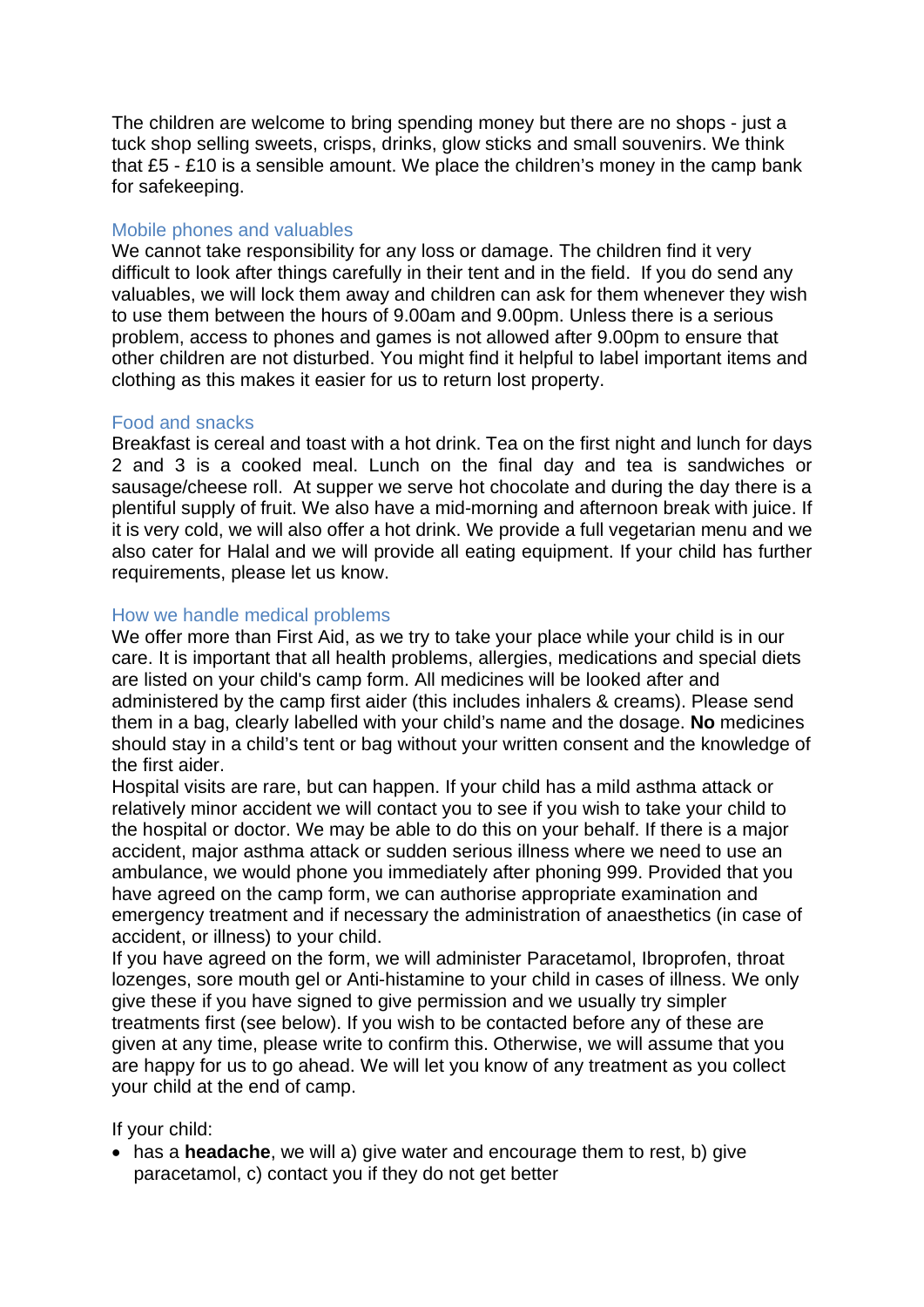The children are welcome to bring spending money but there are no shops - just a tuck shop selling sweets, crisps, drinks, glow sticks and small souvenirs. We think that £5 - £10 is a sensible amount. We place the children's money in the camp bank for safekeeping.

# Mobile phones and valuables

We cannot take responsibility for any loss or damage. The children find it very difficult to look after things carefully in their tent and in the field. If you do send any valuables, we will lock them away and children can ask for them whenever they wish to use them between the hours of 9.00am and 9.00pm. Unless there is a serious problem, access to phones and games is not allowed after 9.00pm to ensure that other children are not disturbed. You might find it helpful to label important items and clothing as this makes it easier for us to return lost property.

# Food and snacks

Breakfast is cereal and toast with a hot drink. Tea on the first night and lunch for days 2 and 3 is a cooked meal. Lunch on the final day and tea is sandwiches or sausage/cheese roll. At supper we serve hot chocolate and during the day there is a plentiful supply of fruit. We also have a mid-morning and afternoon break with juice. If it is very cold, we will also offer a hot drink. We provide a full vegetarian menu and we also cater for Halal and we will provide all eating equipment. If your child has further requirements, please let us know.

# How we handle medical problems

We offer more than First Aid, as we try to take your place while your child is in our care. It is important that all health problems, allergies, medications and special diets are listed on your child's camp form. All medicines will be looked after and administered by the camp first aider (this includes inhalers & creams). Please send them in a bag, clearly labelled with your child's name and the dosage. **No** medicines should stay in a child's tent or bag without your written consent and the knowledge of the first aider.

Hospital visits are rare, but can happen. If your child has a mild asthma attack or relatively minor accident we will contact you to see if you wish to take your child to the hospital or doctor. We may be able to do this on your behalf. If there is a major accident, major asthma attack or sudden serious illness where we need to use an ambulance, we would phone you immediately after phoning 999. Provided that you have agreed on the camp form, we can authorise appropriate examination and emergency treatment and if necessary the administration of anaesthetics (in case of accident, or illness) to your child.

If you have agreed on the form, we will administer Paracetamol, Ibroprofen, throat lozenges, sore mouth gel or Anti-histamine to your child in cases of illness. We only give these if you have signed to give permission and we usually try simpler treatments first (see below). If you wish to be contacted before any of these are given at any time, please write to confirm this. Otherwise, we will assume that you are happy for us to go ahead. We will let you know of any treatment as you collect your child at the end of camp.

If your child:

• has a **headache**, we will a) give water and encourage them to rest, b) give paracetamol, c) contact you if they do not get better